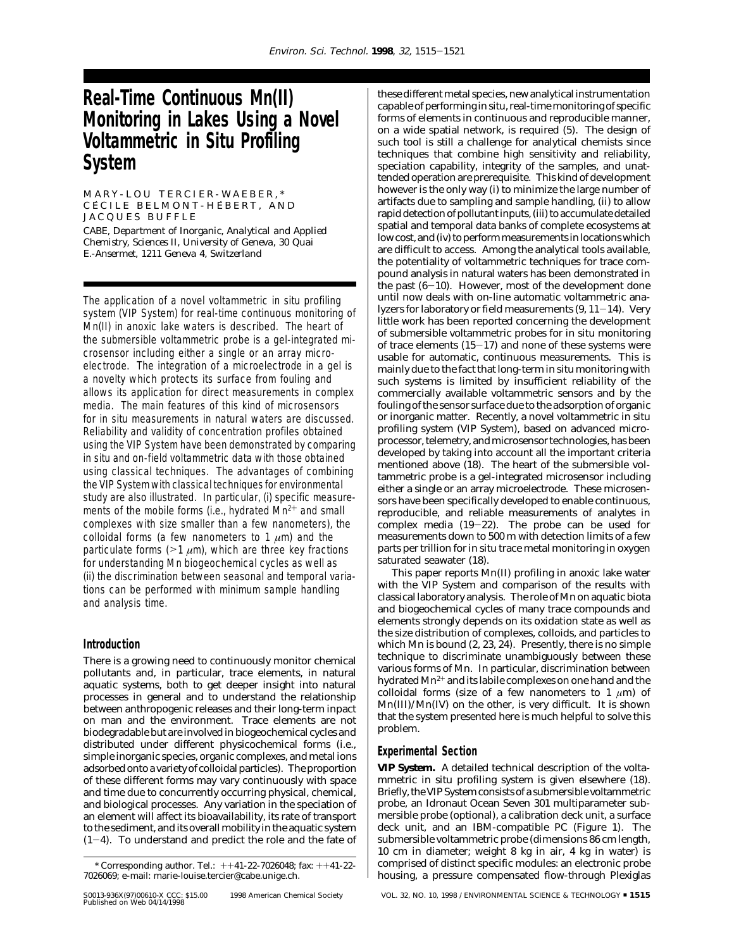## **Real-Time Continuous Mn(II) Monitoring in Lakes Using a Novel Voltammetric in Situ Profiling System**

#### MARY-LOU TERCIER-WAEBER,\* CECILE BELMONT-HEBERT, AND JACQUES BUFFLE

*CABE, Department of Inorganic, Analytical and Applied Chemistry, Sciences II, University of Geneva, 30 Quai E.-Ansermet, 1211 Geneva 4, Switzerland*

The application of a novel voltammetric in situ profiling system (VIP System) for real-time continuous monitoring of Mn(II) in anoxic lake waters is described. The heart of the submersible voltammetric probe is a gel-integrated microsensor including either a single or an array microelectrode. The integration of a microelectrode in a gel is a novelty which protects its surface from fouling and allows its application for direct measurements in complex media. The main features of this kind of microsensors for in situ measurements in natural waters are discussed. Reliability and validity of concentration profiles obtained using the VIP System have been demonstrated by comparing in situ and on-field voltammetric data with those obtained using classical techniques. The advantages of combining the VIP System with classical techniques for environmental study are also illustrated. In particular, (i) specific measurements of the mobile forms (i.e., hydrated  $Mn^{2+}$  and small complexes with size smaller than a few nanometers), the colloidal forms (a few nanometers to 1  $\mu$ m) and the particulate forms ( $>1 \mu$ m), which are three key fractions for understanding Mn biogeochemical cycles as well as (ii) the discrimination between seasonal and temporal variations can be performed with minimum sample handling and analysis time.

## **Introduction**

There is a growing need to continuously monitor chemical pollutants and, in particular, trace elements, in natural aquatic systems, both to get deeper insight into natural processes in general and to understand the relationship between anthropogenic releases and their long-term inpact on man and the environment. Trace elements are not biodegradable but are involved in biogeochemical cycles and distributed under different physicochemical forms (i.e., simple inorganic species, organic complexes, and metal ions adsorbed onto a variety of colloidal particles). The proportion of these different forms may vary continuously with space and time due to concurrently occurring physical, chemical, and biological processes. Any variation in the speciation of an element will affect its bioavailability, its rate of transport to the sediment, and its overall mobility in the aquatic system (*1*-*4*). To understand and predict the role and the fate of

these different metal species, new analytical instrumentation capable of performing in situ, real-time monitoring of specific forms of elements in continuous and reproducible manner, on a wide spatial network, is required (*5*). The design of such tool is still a challenge for analytical chemists since techniques that combine high sensitivity and reliability, speciation capability, integrity of the samples, and unattended operation are prerequisite. This kind of development however is the only way (i) to minimize the large number of artifacts due to sampling and sample handling, (ii) to allow rapid detection of pollutant inputs, (iii) to accumulate detailed spatial and temporal data banks of complete ecosystems at low cost, and (iv) to perform measurements in locations which are difficult to access. Among the analytical tools available, the potentiality of voltammetric techniques for trace compound analysis in natural waters has been demonstrated in the past  $(6-10)$ . However, most of the development done until now deals with on-line automatic voltammetric analyzers for laboratory or field measurements (*9, 11*-*14*). Very little work has been reported concerning the development of submersible voltammetric probes for in situ monitoring of trace elements (*15*-*17*) and none of these systems were usable for automatic, continuous measurements. This is mainly due to the fact that long-term in situ monitoring with such systems is limited by insufficient reliability of the commercially available voltammetric sensors and by the fouling of the sensor surface due to the adsorption of organic or inorganic matter. Recently, a novel voltammetric in situ profiling system (VIP System), based on advanced microprocessor, telemetry, and microsensor technologies, has been developed by taking into account all the important criteria mentioned above (*18*). The heart of the submersible voltammetric probe is a gel-integrated microsensor including either a single or an array microelectrode. These microsensors have been specifically developed to enable continuous, reproducible, and reliable measurements of analytes in complex media (*19*-*22*). The probe can be used for measurements down to 500 m with detection limits of a few parts per trillion for in situ trace metal monitoring in oxygen saturated seawater (*18*).

This paper reports Mn(II) profiling in anoxic lake water with the VIP System and comparison of the results with classical laboratory analysis. The role of Mn on aquatic biota and biogeochemical cycles of many trace compounds and elements strongly depends on its oxidation state as well as the size distribution of complexes, colloids, and particles to which Mn is bound (*2, 23, 24*). Presently, there is no simple technique to discriminate unambiguously between these various forms of Mn. In particular, discrimination between hydrated Mn<sup>2+</sup> and its labile complexes on one hand and the colloidal forms (size of a few nanometers to 1 *µ*m) of Mn(III)/Mn(IV) on the other, is very difficult. It is shown that the system presented here is much helpful to solve this problem.

### **Experimental Section**

**VIP System.** A detailed technical description of the voltammetric in situ profiling system is given elsewhere (*18*). Briefly, the VIP System consists of a submersible voltammetric probe, an Idronaut Ocean Seven 301 multiparameter submersible probe (optional), a calibration deck unit, a surface deck unit, and an IBM-compatible PC (Figure 1). The submersible voltammetric probe (dimensions 86 cm length, 10 cm in diameter; weight 8 kg in air, 4 kg in water) is comprised of distinct specific modules: an electronic probe housing, a pressure compensated flow-through Plexiglas

<sup>\*</sup> Corresponding author. Tel.:  $++41-22-7026048$ ; fax:  $++41-22-$ 7026069; e-mail: marie-louise.tercier@cabe.unige.ch.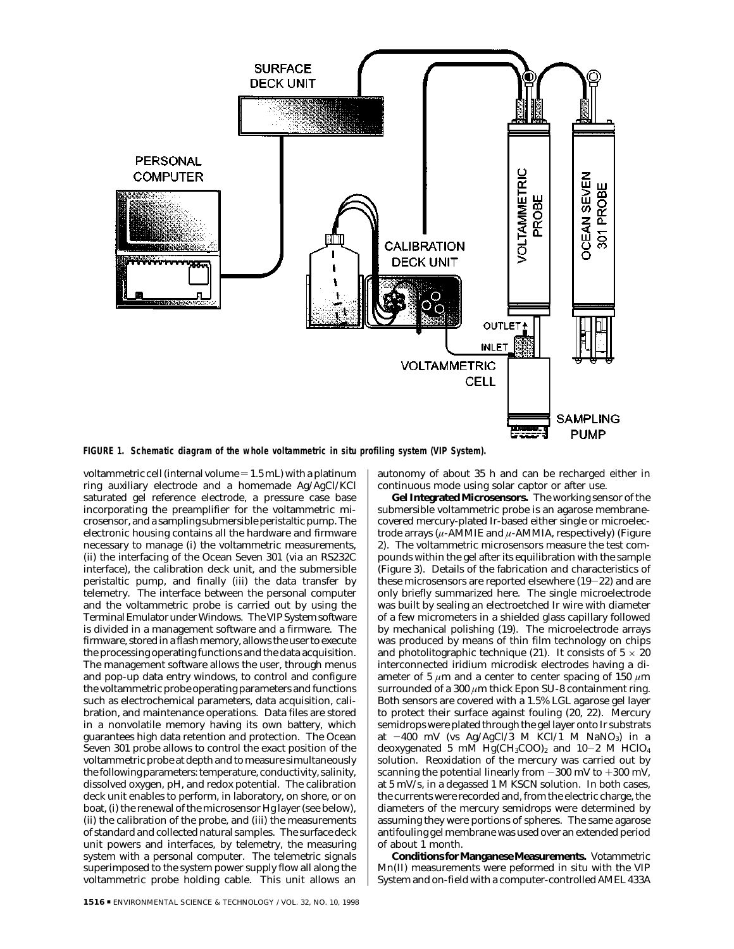

**FIGURE 1. Schematic diagram of the whole voltammetric in situ profiling system (VIP System).**

voltammetric cell (internal volume  $= 1.5$  mL) with a platinum ring auxiliary electrode and a homemade Ag/AgCl/KCl saturated gel reference electrode, a pressure case base incorporating the preamplifier for the voltammetric microsensor, and a sampling submersible peristaltic pump. The electronic housing contains all the hardware and firmware necessary to manage (i) the voltammetric measurements, (ii) the interfacing of the Ocean Seven 301 (via an RS232C interface), the calibration deck unit, and the submersible peristaltic pump, and finally (iii) the data transfer by telemetry. The interface between the personal computer and the voltammetric probe is carried out by using the Terminal Emulator under Windows. The VIP System software is divided in a management software and a firmware. The firmware, stored in a flash memory, allows the user to execute the processing operating functions and the data acquisition. The management software allows the user, through menus and pop-up data entry windows, to control and configure the voltammetric probe operating parameters and functions such as electrochemical parameters, data acquisition, calibration, and maintenance operations. Data files are stored in a nonvolatile memory having its own battery, which guarantees high data retention and protection. The Ocean Seven 301 probe allows to control the exact position of the voltammetric probe at depth and to measure simultaneously the following parameters: temperature, conductivity, salinity, dissolved oxygen, pH, and redox potential. The calibration deck unit enables to perform, in laboratory, on shore, or on boat, (i) the renewal of the microsensor Hg layer (see below), (ii) the calibration of the probe, and (iii) the measurements of standard and collected natural samples. The surface deck unit powers and interfaces, by telemetry, the measuring system with a personal computer. The telemetric signals superimposed to the system power supply flow all along the voltammetric probe holding cable. This unit allows an

autonomy of about 35 h and can be recharged either in continuous mode using solar captor or after use.

**Gel Integrated Microsensors.** The working sensor of the submersible voltammetric probe is an agarose membranecovered mercury-plated Ir-based either single or microelectrode arrays (*µ*-AMMIE and *µ*-AMMIA, respectively) (Figure 2). The voltammetric microsensors measure the test compounds within the gel after its equilibration with the sample (Figure 3). Details of the fabrication and characteristics of these microsensors are reported elsewhere (*19*-*22*) and are only briefly summarized here. The single microelectrode was built by sealing an electroetched Ir wire with diameter of a few micrometers in a shielded glass capillary followed by mechanical polishing (*19*). The microelectrode arrays was produced by means of thin film technology on chips and photolitographic technique (21). It consists of  $5 \times 20$ interconnected iridium microdisk electrodes having a diameter of 5  $\mu$ m and a center to center spacing of 150  $\mu$ m surrounded of a 300 *µ*m thick Epon SU-8 containment ring. Both sensors are covered with a 1.5% LGL agarose gel layer to protect their surface against fouling (*20, 22*). Mercury semidrops were plated through the gel layer onto Ir substrats at  $-400$  mV (vs Ag/AgCl/3 M KCl/1 M NaNO<sub>3</sub>) in a deoxygenated 5 mM Hg(CH<sub>3</sub>COO)<sub>2</sub> and  $10-2$  M HClO<sub>4</sub> solution. Reoxidation of the mercury was carried out by scanning the potential linearly from  $-300$  mV to  $+300$  mV, at 5 mV/s, in a degassed 1 M KSCN solution. In both cases, the currents were recorded and, from the electric charge, the diameters of the mercury semidrops were determined by assuming they were portions of spheres. The same agarose antifouling gel membrane was used over an extended period of about 1 month.

**Conditions for Manganese Measurements.** Votammetric Mn(II) measurements were peformed in situ with the VIP System and on-field with a computer-controlled AMEL 433A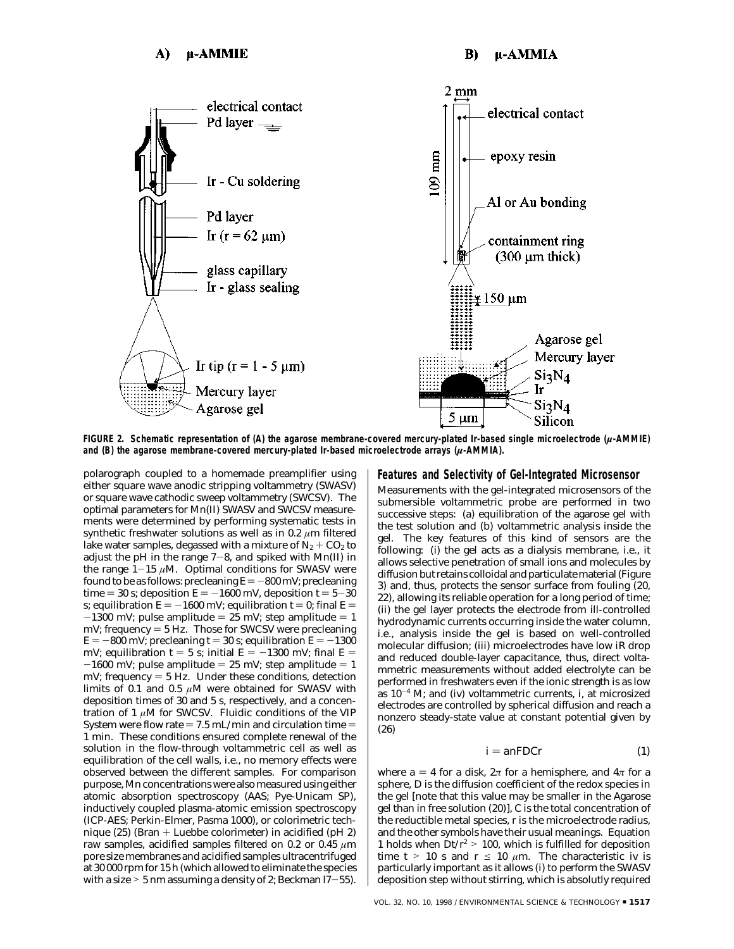

**FIGURE 2. Schematic representation of (A) the agarose membrane-covered mercury-plated Ir-based single microelectrode (***µ***-AMMIE) and (B) the agarose membrane-covered mercury-plated Ir-based microelectrode arrays (***µ***-AMMIA).**

polarograph coupled to a homemade preamplifier using either square wave anodic stripping voltammetry (SWASV) or square wave cathodic sweep voltammetry (SWCSV). The optimal parameters for Mn(II) SWASV and SWCSV measurements were determined by performing systematic tests in synthetic freshwater solutions as well as in 0.2 *µ*m filtered lake water samples, degassed with a mixture of  $N_2 + CO_2$  to adjust the pH in the range  $7-8$ , and spiked with Mn(II) in the range  $1-15 \mu M$ . Optimal conditions for SWASV were found to be as follows: precleaning  $E = -800$  mV; precleaning time = 30 s; deposition  $E = -1600$  mV, deposition  $t = 5-30$ s; equilibration  $E = -1600$  mV; equilibration  $t = 0$ ; final  $E =$  $-1300$  mV; pulse amplitude = 25 mV; step amplitude = 1 mV; frequency  $= 5$  Hz. Those for SWCSV were precleaning  $E = -800$  mV; precleaning  $t = 30$  s; equilibration  $E = -1300$ mV; equilibration  $t = 5$  s; initial  $E = -1300$  mV; final  $E =$  $-1600$  mV; pulse amplitude = 25 mV; step amplitude = 1 mV; frequency  $=$  5 Hz. Under these conditions, detection limits of 0.1 and 0.5 *µ*M were obtained for SWASV with deposition times of 30 and 5 s, respectively, and a concentration of 1 *µ*M for SWCSV. Fluidic conditions of the VIP System were flow rate  $= 7.5$  mL/min and circulation time  $=$ 1 min. These conditions ensured complete renewal of the solution in the flow-through voltammetric cell as well as equilibration of the cell walls, i.e., no memory effects were observed between the different samples. For comparison purpose, Mn concentrations were also measured using either atomic absorption spectroscopy (AAS; Pye-Unicam SP), inductively coupled plasma-atomic emission spectroscopy (ICP-AES; Perkin-Elmer, Pasma 1000), or colorimetric technique (*25*) (Bran + Luebbe colorimeter) in acidified (pH 2) raw samples, acidified samples filtered on 0.2 or 0.45 *µ*m pore size membranes and acidified samples ultracentrifuged at 30 000 rpm for 15 h (which allowed to eliminate the species with a size  $> 5$  nm assuming a density of 2; Beckman  $17-55$ ).

## **Features and Selectivity of Gel-Integrated Microsensor**

Measurements with the gel-integrated microsensors of the submersible voltammetric probe are performed in two successive steps: (a) equilibration of the agarose gel with the test solution and (b) voltammetric analysis inside the gel. The key features of this kind of sensors are the following: (i) the gel acts as a dialysis membrane, i.e., it allows selective penetration of small ions and molecules by diffusion but retains colloidal and particulate material (Figure 3) and, thus, protects the sensor surface from fouling (*20, 22*), allowing its reliable operation for a long period of time; (ii) the gel layer protects the electrode from ill-controlled hydrodynamic currents occurring inside the water column, i.e., analysis inside the gel is based on well-controlled molecular diffusion; (iii) microelectrodes have low *iR* drop and reduced double-layer capacitance, thus, direct voltammetric measurements without added electrolyte can be performed in freshwaters even if the ionic strength is as low as 10-<sup>4</sup> M; and (iv) voltammetric currents, *i*, at microsized electrodes are controlled by spherical diffusion and reach a nonzero steady-state value at constant potential given by (*26*)

$$
i = anFDCr \tag{1}
$$

where  $a = 4$  for a disk,  $2\pi$  for a hemisphere, and  $4\pi$  for a sphere, *D* is the diffusion coefficient of the redox species in the gel [note that this value may be smaller in the Agarose gel than in free solution (*20*)], *C* is the total concentration of the reductible metal species, *r* is the microelectrode radius, and the other symbols have their usual meanings. Equation 1 holds when  $Dt/r^2 > 100$ , which is fulfilled for deposition time  $t > 10$  s and  $r \le 10 \mu m$ . The characteristic iv is particularly important as it allows (i) to perform the SWASV deposition step without stirring, which is absolutly required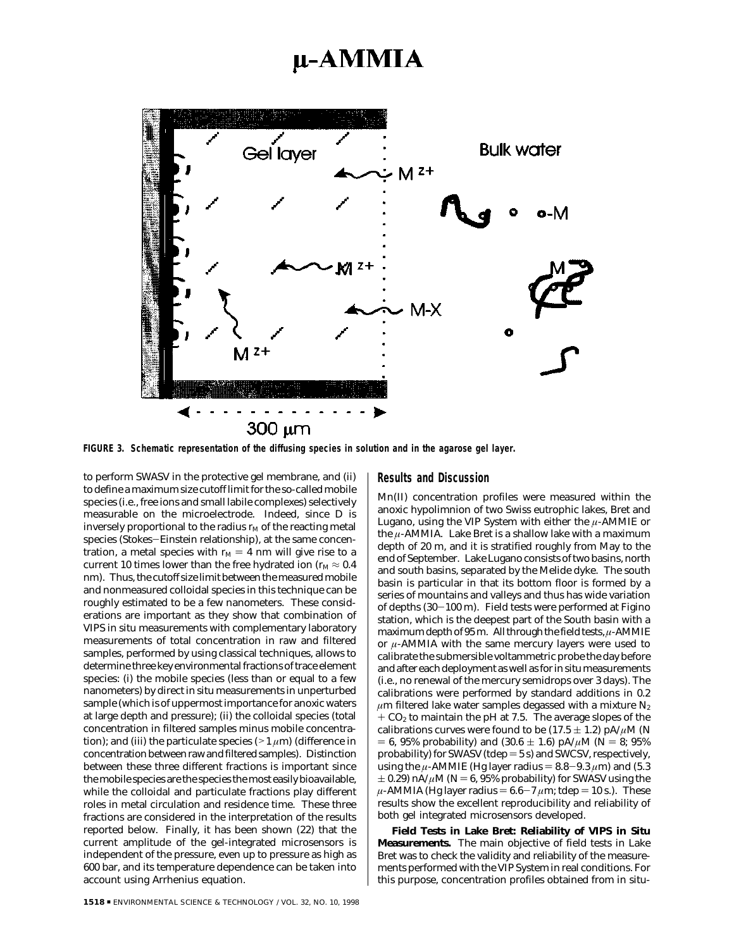# µ-AMMIA



**FIGURE 3. Schematic representation of the diffusing species in solution and in the agarose gel layer.**

to perform SWASV in the protective gel membrane, and (ii) to define a maximum size cutoff limit for the so-called mobile species (i.e., free ions and small labile complexes) selectively measurable on the microelectrode. Indeed, since *D* is inversely proportional to the radius  $r_M$  of the reacting metal species (Stokes-Einstein relationship), at the same concentration, a metal species with  $r_M = 4$  nm will give rise to a current 10 times lower than the free hydrated ion ( $r_M \approx 0.4$ ) nm). Thus, the cutoff size limit between the measured mobile and nonmeasured colloidal species in this technique can be roughly estimated to be a few nanometers. These considerations are important as they show that combination of VIPS in situ measurements with complementary laboratory measurements of total concentration in raw and filtered samples, performed by using classical techniques, allows to determine three key environmental fractions of trace element species: (i) the mobile species (less than or equal to a few nanometers) by direct in situ measurements in unperturbed sample (which is of uppermost importance for anoxic waters at large depth and pressure); (ii) the colloidal species (total concentration in filtered samples minus mobile concentration); and (iii) the particulate species ( $>1 \mu$ m) (difference in concentration between raw and filtered samples). Distinction between these three different fractions is important since the mobile species are the species the most easily bioavailable, while the colloidal and particulate fractions play different roles in metal circulation and residence time. These three fractions are considered in the interpretation of the results reported below. Finally, it has been shown (*22*) that the current amplitude of the gel-integrated microsensors is independent of the pressure, even up to pressure as high as 600 bar, and its temperature dependence can be taken into account using Arrhenius equation.

## **Results and Discussion**

Mn(II) concentration profiles were measured within the anoxic hypolimnion of two Swiss eutrophic lakes, Bret and Lugano, using the VIP System with either the *µ*-AMMIE or the *µ*-AMMIA. Lake Bret is a shallow lake with a maximum depth of 20 m, and it is stratified roughly from May to the end of September. Lake Lugano consists of two basins, north and south basins, separated by the Melide dyke. The south basin is particular in that its bottom floor is formed by a series of mountains and valleys and thus has wide variation of depths (30-100 m). Field tests were performed at Figino station, which is the deepest part of the South basin with a maximum depth of 95 m. All through the field tests,*µ*-AMMIE or *µ*-AMMIA with the same mercury layers were used to calibrate the submersible voltammetric probe the day before and after each deployment as well as for in situ measurements (i.e., no renewal of the mercury semidrops over 3 days). The calibrations were performed by standard additions in 0.2  $\mu$ m filtered lake water samples degassed with a mixture N<sub>2</sub>  $+$  CO<sub>2</sub> to maintain the pH at 7.5. The average slopes of the calibrations curves were found to be (17.5  $\pm$  1.2) pA/ $\mu$ M (*N*  $= 6$ , 95% probability) and (30.6  $\pm$  1.6) pA/ $\mu$ M (*N* = 8; 95% probability) for SWASV (tdep  $= 5$  s) and SWCSV, respectively, using the  $\mu$ -AMMIE (Hg layer radius = 8.8-9.3  $\mu$ m) and (5.3)  $\pm$  0.29) nA/ $\mu$ M (*N* = 6, 95% probability) for SWASV using the  $\mu$ -AMMIA (Hg layer radius = 6.6-7  $\mu$ m; tdep = 10 s.). These results show the excellent reproducibility and reliability of both gel integrated microsensors developed.

**Field Tests in Lake Bret: Reliability of VIPS in Situ Measurements.** The main objective of field tests in Lake Bret was to check the validity and reliability of the measurements performed with the VIP System in real conditions. For this purpose, concentration profiles obtained from in situ-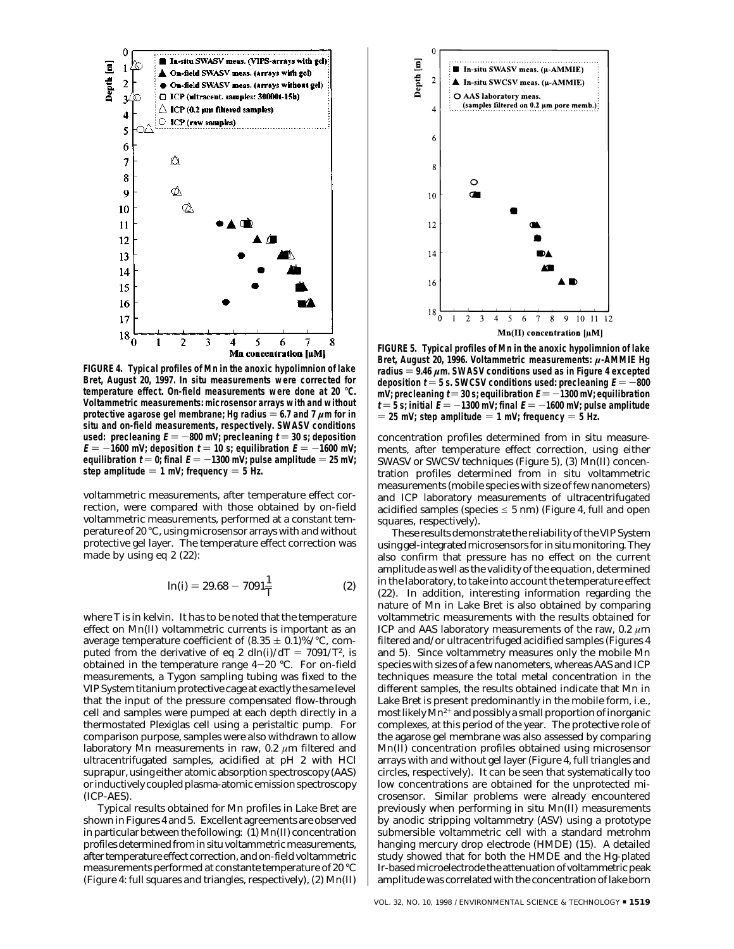

**FIGURE 4. Typical profiles of Mn in the anoxic hypolimnion of lake Bret, August 20, 1997. In situ measurements were corrected for temperature effect. On-field measurements were done at 20** °**C. Voltammetric measurements: microsensor arrays with and without protective agarose gel membrane; Hg radius**  $= 6.7$  **and 7**  $\mu$ **m for in situ and on-field measurements, respectively. SWASV conditions** used: precleaning  $E = -800$  mV; precleaning  $t = 30$  s; deposition  $E = -1600$  mV; deposition  $t = 10$  s; equilibration  $E = -1600$  mV; **equilibration**  $t = 0$ ; final  $E = -1300$  mV; pulse amplitude  $= 25$  mV; step amplitude  $= 1$  mV; frequency  $= 5$  Hz.

voltammetric measurements, after temperature effect correction, were compared with those obtained by on-field voltammetric measurements, performed at a constant temperature of 20 °C, using microsensor arrays with and without protective gel layer. The temperature effect correction was made by using eq 2 (*22*):

$$
\ln(i) = 29.68 - 7091 \frac{1}{T}
$$
 (2)

where *T* is in kelvin. It has to be noted that the temperature effect on Mn(II) voltammetric currents is important as an average temperature coefficient of  $(8.35 \pm 0.1)\%$ /°C, computed from the derivative of eq 2 dln( $\hat{j}/dT = 7091/T^2$ , is obtained in the temperature range  $4-20$  °C. For on-field measurements, a Tygon sampling tubing was fixed to the VIP System titanium protective cage at exactly the same level that the input of the pressure compensated flow-through cell and samples were pumped at each depth directly in a thermostated Plexiglas cell using a peristaltic pump. For comparison purpose, samples were also withdrawn to allow laboratory Mn measurements in raw, 0.2 *µ*m filtered and ultracentrifugated samples, acidified at pH 2 with HCl suprapur, using either atomic absorption spectroscopy (AAS) or inductively coupled plasma-atomic emission spectroscopy (ICP-AES).

Typical results obtained for Mn profiles in Lake Bret are shown in Figures 4 and 5. Excellent agreements are observed in particular between the following: (1) Mn(II) concentration profiles determined from in situ voltammetric measurements, after temperature effect correction, and on-field voltammetric measurements performed at constante temperature of 20 °C (Figure 4: full squares and triangles, respectively), (2) Mn(II)



**FIGURE 5. Typical profiles of Mn in the anoxic hypolimnion of lake Bret, August 20, 1996. Voltammetric measurements:** *µ***-AMMIE Hg** radius  $= 9.46 \mu$ m. SWASV conditions used as in Figure 4 excepted **deposition**  $t = 5$  s. SWCSV conditions used: precleaning  $E = -800$  $mV$ ; precleaning  $t = 30$  s; equilibration  $E = -1300$  mV; equilibration  $t = 5$  s; initial  $E = -1300$  mV; final  $E = -1600$  mV; pulse amplitude  $=$  25 mV; step amplitude  $=$  1 mV; frequency  $=$  5 Hz.

concentration profiles determined from in situ measurements, after temperature effect correction, using either SWASV or SWCSV techniques (Figure 5), (3) Mn(II) concentration profiles determined from in situ voltammetric measurements (mobile species with size of few nanometers) and ICP laboratory measurements of ultracentrifugated acidified samples (species  $\leq$  5 nm) (Figure 4, full and open squares, respectively).

These results demonstrate the reliability of the VIP System using gel-integrated microsensors for in situ monitoring. They also confirm that pressure has no effect on the current amplitude as well as the validity of the equation, determined in the laboratory, to take into account the temperature effect (*22*). In addition, interesting information regarding the nature of Mn in Lake Bret is also obtained by comparing voltammetric measurements with the results obtained for ICP and AAS laboratory measurements of the raw, 0.2 *µ*m filtered and/or ultracentrifuged acidified samples (Figures 4 and 5). Since voltammetry measures only the mobile Mn species with sizes of a few nanometers, whereas AAS and ICP techniques measure the total metal concentration in the different samples, the results obtained indicate that Mn in Lake Bret is present predominantly in the mobile form, i.e., most likely  $\bar{M}n^{2+}$  and possibly a small proportion of inorganic complexes, at this period of the year. The protective role of the agarose gel membrane was also assessed by comparing Mn(II) concentration profiles obtained using microsensor arrays with and without gel layer (Figure 4, full triangles and circles, respectively). It can be seen that systematically too low concentrations are obtained for the unprotected microsensor. Similar problems were already encountered previously when performing in situ Mn(II) measurements by anodic stripping voltammetry (ASV) using a prototype submersible voltammetric cell with a standard metrohm hanging mercury drop electrode (HMDE) (*15*). A detailed study showed that for both the HMDE and the Hg-plated Ir-based microelectrode the attenuation of voltammetric peak amplitude was correlated with the concentration of lake born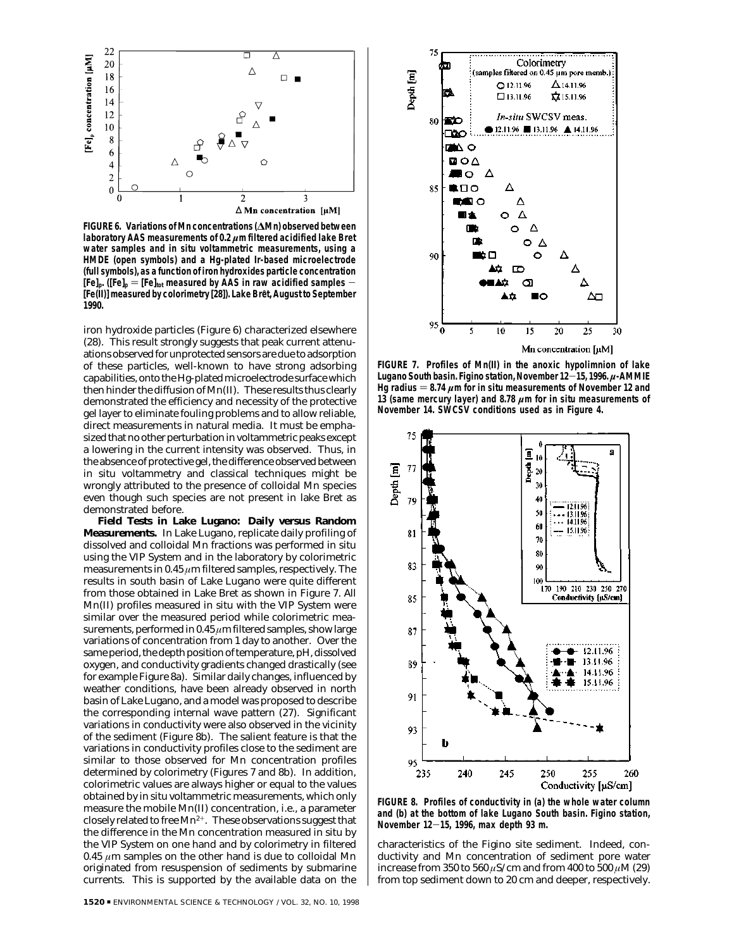

**FIGURE 6. Variations of Mn concentrations (∆Mn) observed between laboratory AAS measurements of 0.2** *µ***m filtered acidified lake Bret water samples and in situ voltammetric measurements, using a HMDE (open symbols) and a Hg-plated Ir-based microelectrode (full symbols), as a function of iron hydroxides particle concentration**  $[Fe]_p$ . ( $[Fe]_p = [Fe]_{tot}$  measured by AAS in raw acidified samples  $-$ [Fe(II)] measured by colorimetry [28]). Lake Brêt, August to September **1990.**

iron hydroxide particles (Figure 6) characterized elsewhere (*28*). This result strongly suggests that peak current attenuations observed for unprotected sensors are due to adsorption of these particles, well-known to have strong adsorbing capabilities, onto the Hg-plated microelectrode surface which then hinder the diffusion of Mn(II). These results thus clearly demonstrated the efficiency and necessity of the protective gel layer to eliminate fouling problems and to allow reliable, direct measurements in natural media. It must be emphasized that no other perturbation in voltammetric peaks except a lowering in the current intensity was observed. Thus, in the absence of protective gel, the difference observed between in situ voltammetry and classical techniques might be wrongly attributed to the presence of colloidal Mn species even though such species are not present in lake Bret as demonstrated before.

**Field Tests in Lake Lugano: Daily versus Random Measurements.** In Lake Lugano, replicate daily profiling of dissolved and colloidal Mn fractions was performed in situ using the VIP System and in the laboratory by colorimetric measurements in 0.45  $\mu$ m filtered samples, respectively. The results in south basin of Lake Lugano were quite different from those obtained in Lake Bret as shown in Figure 7. All Mn(II) profiles measured in situ with the VIP System were similar over the measured period while colorimetric measurements, performed in 0.45 *µ*m filtered samples, show large variations of concentration from 1 day to another. Over the same period, the depth position of temperature, pH, dissolved oxygen, and conductivity gradients changed drastically (see for example Figure 8a). Similar daily changes, influenced by weather conditions, have been already observed in north basin of Lake Lugano, and a model was proposed to describe the corresponding internal wave pattern (*27*). Significant variations in conductivity were also observed in the vicinity of the sediment (Figure 8b). The salient feature is that the variations in conductivity profiles close to the sediment are similar to those observed for Mn concentration profiles determined by colorimetry (Figures 7 and 8b). In addition, colorimetric values are always higher or equal to the values obtained by in situ voltammetric measurements, which only measure the mobile Mn(II) concentration, i.e., a parameter closely related to free  $\mathrm{Mn^{2+}}$ . These observations suggest that the difference in the Mn concentration measured in situ by the VIP System on one hand and by colorimetry in filtered  $0.45 \mu m$  samples on the other hand is due to colloidal Mn originated from resuspension of sediments by submarine currents. This is supported by the available data on the



**FIGURE 7. Profiles of Mn(II) in the anoxic hypolimnion of lake Lugano South basin. Figino station, November 12**-**15, 1996.***µ***-AMMIE** Hg radius  $= 8.74 \mu$ m for in situ measurements of November 12 and **13 (same mercury layer) and 8.78** *µ***m for in situ measurements of November 14. SWCSV conditions used as in Figure 4.**



**FIGURE 8. Profiles of conductivity in (a) the whole water column and (b) at the bottom of lake Lugano South basin. Figino station, November 12**-**15, 1996, max depth 93 m.**

characteristics of the Figino site sediment. Indeed, conductivity and Mn concentration of sediment pore water increase from 350 to 560 *µ*S/cm and from 400 to 500 *µ*M (*29*) from top sediment down to 20 cm and deeper, respectively.